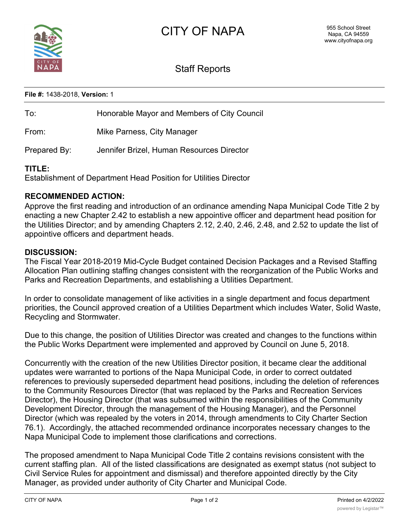

# Staff Reports

#### **File #:** 1438-2018, **Version:** 1

| To:          | Honorable Mayor and Members of City Council |
|--------------|---------------------------------------------|
| From:        | Mike Parness, City Manager                  |
| Prepared By: | Jennifer Brizel, Human Resources Director   |

#### **TITLE:**

Establishment of Department Head Position for Utilities Director

### **RECOMMENDED ACTION:**

Approve the first reading and introduction of an ordinance amending Napa Municipal Code Title 2 by enacting a new Chapter 2.42 to establish a new appointive officer and department head position for the Utilities Director; and by amending Chapters 2.12, 2.40, 2.46, 2.48, and 2.52 to update the list of appointive officers and department heads.

#### **DISCUSSION:**

The Fiscal Year 2018-2019 Mid-Cycle Budget contained Decision Packages and a Revised Staffing Allocation Plan outlining staffing changes consistent with the reorganization of the Public Works and Parks and Recreation Departments, and establishing a Utilities Department.

In order to consolidate management of like activities in a single department and focus department priorities, the Council approved creation of a Utilities Department which includes Water, Solid Waste, Recycling and Stormwater.

Due to this change, the position of Utilities Director was created and changes to the functions within the Public Works Department were implemented and approved by Council on June 5, 2018.

Concurrently with the creation of the new Utilities Director position, it became clear the additional updates were warranted to portions of the Napa Municipal Code, in order to correct outdated references to previously superseded department head positions, including the deletion of references to the Community Resources Director (that was replaced by the Parks and Recreation Services Director), the Housing Director (that was subsumed within the responsibilities of the Community Development Director, through the management of the Housing Manager), and the Personnel Director (which was repealed by the voters in 2014, through amendments to City Charter Section 76.1). Accordingly, the attached recommended ordinance incorporates necessary changes to the Napa Municipal Code to implement those clarifications and corrections.

The proposed amendment to Napa Municipal Code Title 2 contains revisions consistent with the current staffing plan. All of the listed classifications are designated as exempt status (not subject to Civil Service Rules for appointment and dismissal) and therefore appointed directly by the City Manager, as provided under authority of City Charter and Municipal Code.